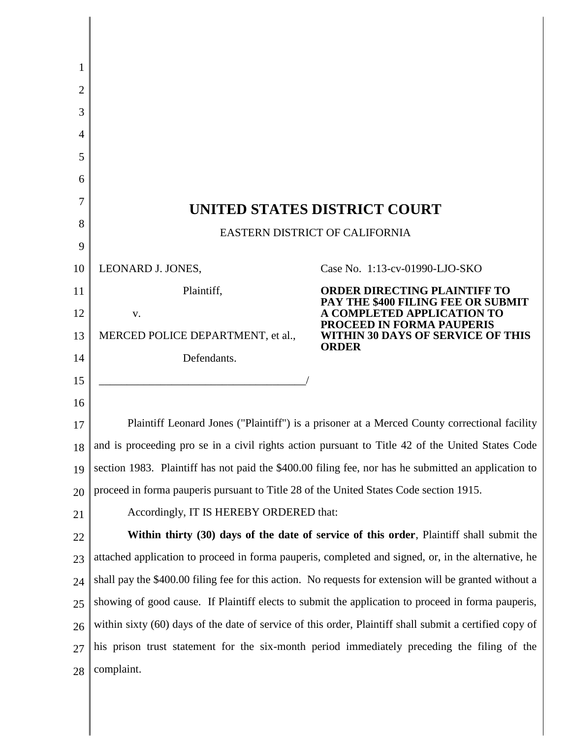| 1  |                                                                                                         |                                                                                              |  |
|----|---------------------------------------------------------------------------------------------------------|----------------------------------------------------------------------------------------------|--|
| 2  |                                                                                                         |                                                                                              |  |
| 3  |                                                                                                         |                                                                                              |  |
| 4  |                                                                                                         |                                                                                              |  |
| 5  |                                                                                                         |                                                                                              |  |
| 6  |                                                                                                         |                                                                                              |  |
| 7  | UNITED STATES DISTRICT COURT                                                                            |                                                                                              |  |
| 8  | EASTERN DISTRICT OF CALIFORNIA                                                                          |                                                                                              |  |
| 9  |                                                                                                         |                                                                                              |  |
| 10 | LEONARD J. JONES,                                                                                       | Case No. 1:13-cv-01990-LJO-SKO                                                               |  |
| 11 | Plaintiff,                                                                                              | <b>ORDER DIRECTING PLAINTIFF TO</b><br>PAY THE \$400 FILING FEE OR SUBMIT                    |  |
| 12 | V.                                                                                                      | <b>COMPLETED APPLICATION TO</b>                                                              |  |
| 13 | MERCED POLICE DEPARTMENT, et al.,                                                                       | <b>PROCEED IN FORMA PAUPERIS</b><br><b>WITHIN 30 DAYS OF SERVICE OF THIS</b><br><b>ORDER</b> |  |
| 14 | Defendants.                                                                                             |                                                                                              |  |
| 15 |                                                                                                         |                                                                                              |  |
| 16 |                                                                                                         |                                                                                              |  |
| 17 | Plaintiff Leonard Jones ("Plaintiff") is a prisoner at a Merced County correctional facility            |                                                                                              |  |
| 18 | and is proceeding pro se in a civil rights action pursuant to Title 42 of the United States Code        |                                                                                              |  |
| 19 | section 1983. Plaintiff has not paid the \$400.00 filing fee, nor has he submitted an application to    |                                                                                              |  |
| 20 | proceed in forma pauperis pursuant to Title 28 of the United States Code section 1915.                  |                                                                                              |  |
| 21 | Accordingly, IT IS HEREBY ORDERED that:                                                                 |                                                                                              |  |
| 22 | Within thirty (30) days of the date of service of this order, Plaintiff shall submit the                |                                                                                              |  |
| 23 | attached application to proceed in forma pauperis, completed and signed, or, in the alternative, he     |                                                                                              |  |
| 24 | shall pay the \$400.00 filing fee for this action. No requests for extension will be granted without a  |                                                                                              |  |
| 25 | showing of good cause. If Plaintiff elects to submit the application to proceed in forma pauperis,      |                                                                                              |  |
| 26 | within sixty (60) days of the date of service of this order, Plaintiff shall submit a certified copy of |                                                                                              |  |
| 27 | his prison trust statement for the six-month period immediately preceding the filing of the             |                                                                                              |  |
| 28 | complaint.                                                                                              |                                                                                              |  |